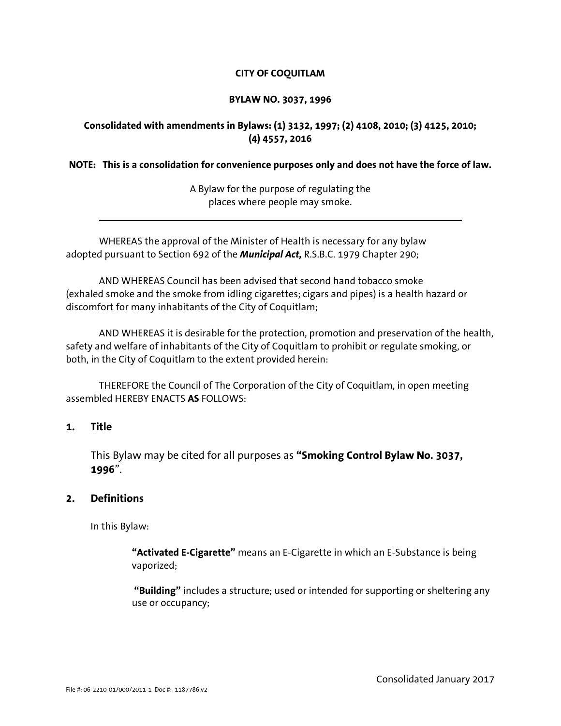# **CITY OF COQUITLAM**

#### **BYLAW NO. 3037, 1996**

# **Consolidated with amendments in Bylaws: (1) 3132, 1997; (2) 4108, 2010; (3) 4125, 2010; (4) 4557, 2016**

## **NOTE: This is a consolidation for convenience purposes only and does not have the force of law.**

A Bylaw for the purpose of regulating the places where people may smoke.

WHEREAS the approval of the Minister of Health is necessary for any bylaw adopted pursuant to Section 692 of the *Municipal Act,* R.S.B.C. 1979 Chapter 290;

AND WHEREAS Council has been advised that second hand tobacco smoke (exhaled smoke and the smoke from idling cigarettes; cigars and pipes) is a health hazard or discomfort for many inhabitants of the City of Coquitlam;

AND WHEREAS it is desirable for the protection, promotion and preservation of the health, safety and welfare of inhabitants of the City of Coquitlam to prohibit or regulate smoking, or both, in the City of Coquitlam to the extent provided herein:

THEREFORE the Council of The Corporation of the City of Coquitlam, in open meeting assembled HEREBY ENACTS **AS** FOLLOWS:

# **1. Title**

l,

This Bylaw may be cited for all purposes as **"Smoking Control Bylaw No. 3037, 1996**".

# **2. Definitions**

In this Bylaw:

**"Activated E-Cigarette"** means an E-Cigarette in which an E-Substance is being vaporized;

 **"Building"** includes a structure; used or intended for supporting or sheltering any use or occupancy;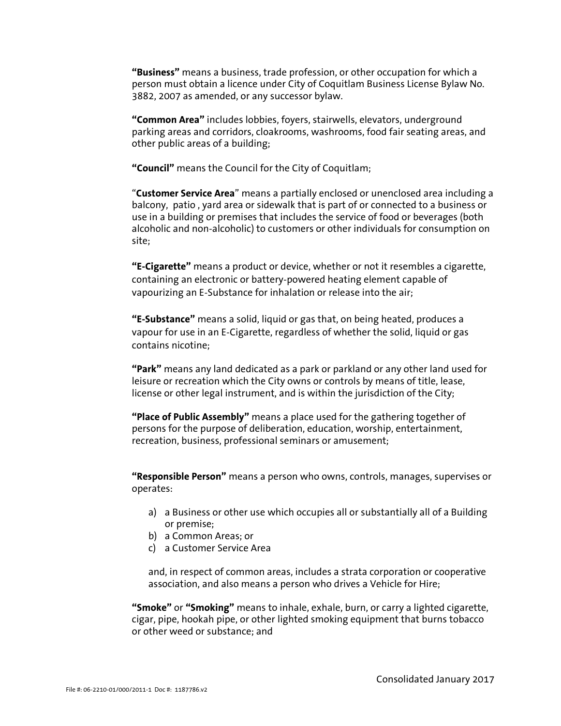**"Business"** means a business, trade profession, or other occupation for which a person must obtain a licence under City of Coquitlam Business License Bylaw No. 3882, 2007 as amended, or any successor bylaw.

**"Common Area"** includes lobbies, foyers, stairwells, elevators, underground parking areas and corridors, cloakrooms, washrooms, food fair seating areas, and other public areas of a building;

**"Council"** means the Council for the City of Coquitlam;

"**Customer Service Area**" means a partially enclosed or unenclosed area including a balcony, patio , yard area or sidewalk that is part of or connected to a business or use in a building or premises that includes the service of food or beverages (both alcoholic and non-alcoholic) to customers or other individuals for consumption on site;

**"E-Cigarette"** means a product or device, whether or not it resembles a cigarette, containing an electronic or battery-powered heating element capable of vapourizing an E-Substance for inhalation or release into the air;

**"E-Substance"** means a solid, liquid or gas that, on being heated, produces a vapour for use in an E-Cigarette, regardless of whether the solid, liquid or gas contains nicotine;

**"Park"** means any land dedicated as a park or parkland or any other land used for leisure or recreation which the City owns or controls by means of title, lease, license or other legal instrument, and is within the jurisdiction of the City;

**"Place of Public Assembly"** means a place used for the gathering together of persons for the purpose of deliberation, education, worship, entertainment, recreation, business, professional seminars or amusement;

**"Responsible Person"** means a person who owns, controls, manages, supervises or operates:

- a) a Business or other use which occupies all or substantially all of a Building or premise;
- b) a Common Areas; or
- c) a Customer Service Area

and, in respect of common areas, includes a strata corporation or cooperative association, and also means a person who drives a Vehicle for Hire;

**"Smoke"** or **"Smoking"** means to inhale, exhale, burn, or carry a lighted cigarette, cigar, pipe, hookah pipe, or other lighted smoking equipment that burns tobacco or other weed or substance; and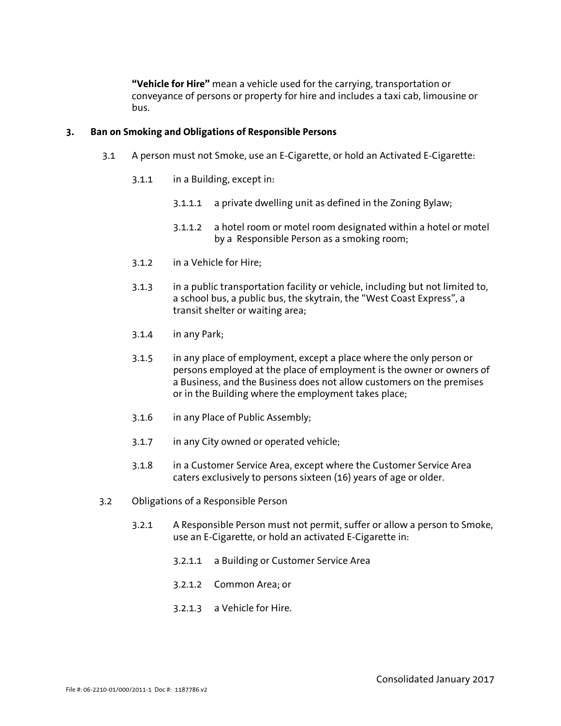**"Vehicle for Hire"** mean a vehicle used for the carrying, transportation or conveyance of persons or property for hire and includes a taxi cab, limousine or bus.

#### **3. Ban on Smoking and Obligations of Responsible Persons**

- 3.1 A person must not Smoke, use an E-Cigarette, or hold an Activated E-Cigarette:
	- 3.1.1 in a Building, except in:
		- 3.1.1.1 a private dwelling unit as defined in the Zoning Bylaw;
		- 3.1.1.2 a hotel room or motel room designated within a hotel or motel by a Responsible Person as a smoking room;
	- 3.1.2 in a Vehicle for Hire;
	- 3.1.3 in a public transportation facility or vehicle, including but not limited to, a school bus, a public bus, the skytrain, the "West Coast Express", a transit shelter or waiting area;
	- 3.1.4 in any Park;
	- 3.1.5 in any place of employment, except a place where the only person or persons employed at the place of employment is the owner or owners of a Business, and the Business does not allow customers on the premises or in the Building where the employment takes place;
	- 3.1.6 in any Place of Public Assembly;
	- 3.1.7 in any City owned or operated vehicle;
	- 3.1.8 in a Customer Service Area, except where the Customer Service Area caters exclusively to persons sixteen (16) years of age or older.
- 3.2 Obligations of a Responsible Person
	- 3.2.1 A Responsible Person must not permit, suffer or allow a person to Smoke, use an E-Cigarette, or hold an activated E-Cigarette in:
		- 3.2.1.1 a Building or Customer Service Area
		- 3.2.1.2 Common Area; or
		- 3.2.1.3 a Vehicle for Hire.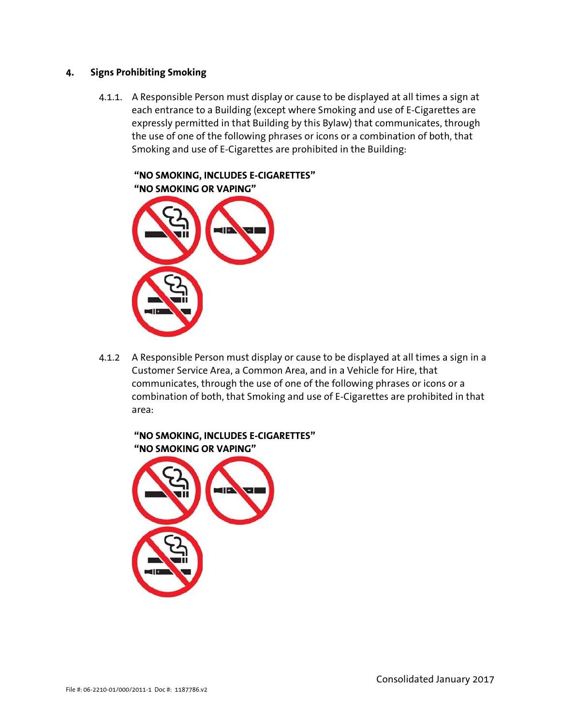## **4. Signs Prohibiting Smoking**

4.1.1. A Responsible Person must display or cause to be displayed at all times a sign at each entrance to a Building (except where Smoking and use of E-Cigarettes are expressly permitted in that Building by this Bylaw) that communicates, through the use of one of the following phrases or icons or a combination of both, that Smoking and use of E-Cigarettes are prohibited in the Building:



4.1.2 A Responsible Person must display or cause to be displayed at all times a sign in a Customer Service Area, a Common Area, and in a Vehicle for Hire, that communicates, through the use of one of the following phrases or icons or a combination of both, that Smoking and use of E-Cigarettes are prohibited in that area: